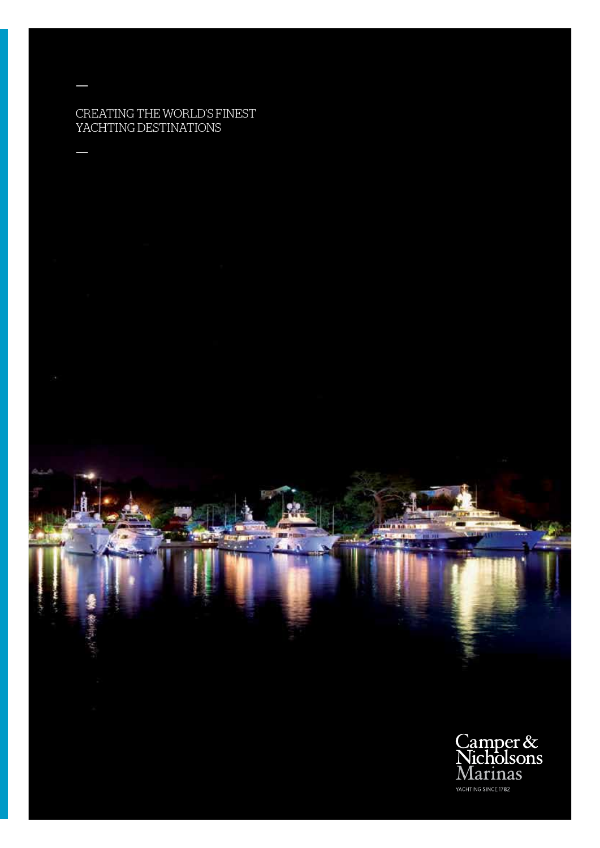# CREATING THE WORLD'S FINEST YACHTING DESTINATIONS

—

—

Camper &<br>Nicholsons Marinas YACHTING SINCE 1782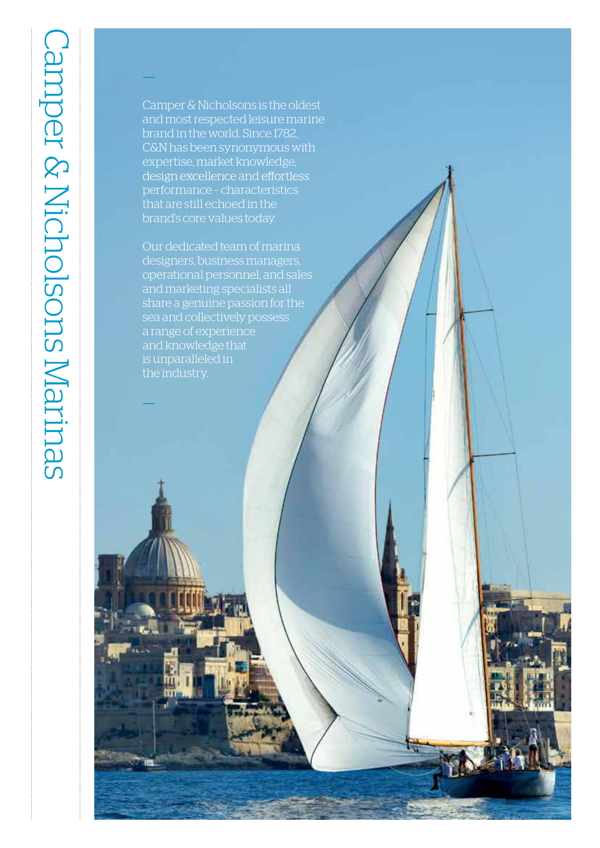Camper & Nicholsons is the oldest and most respected leisure marine brand in the world. Since 1782, C&N has been synonymous with expertise, market knowledge, design excellence and effortless performance - characteristics that are still echoed in the brand's core values today.

—

—

Our dedicated team of marina designers, business managers, operational personnel, and sales and marketing specialists all share a genuine passion for the a range of experience and knowledge that is unparalleled in the industry.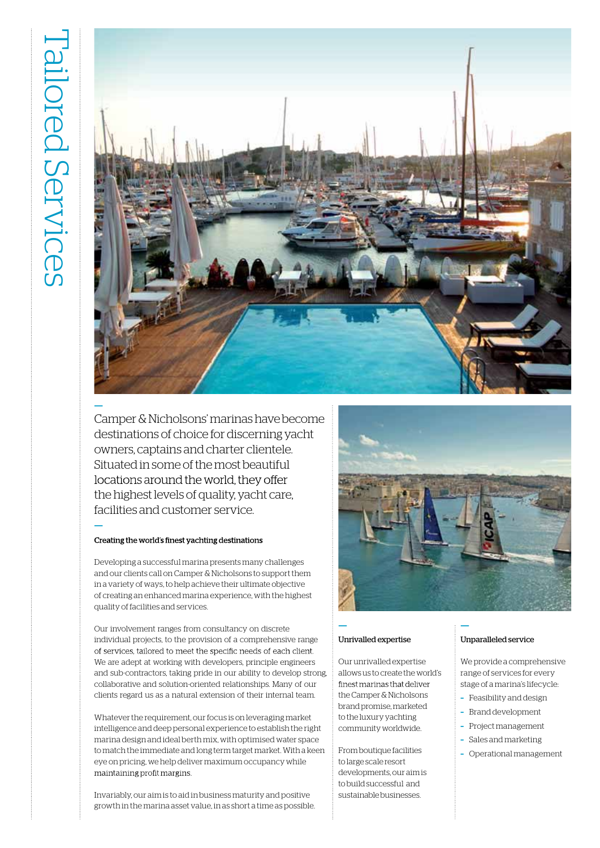

Camper & Nicholsons' marinas have become destinations of choice for discerning yacht owners, captains and charter clientele. Situated in some of the most beautiful locations around the world, they offer the highest levels of quality, yacht care, facilities and customer service.

## Creating the world's finest yachting destinations

**—**

Developing a successful marina presents many challenges and our clients call on Camper & Nicholsons to support them in a variety of ways, to help achieve their ultimate objective of creating an enhanced marina experience, with the highest quality of facilities and services.

Our involvement ranges from consultancy on discrete individual projects, to the provision of a comprehensive range of services, tailored to meet the specific needs of each client. We are adept at working with developers, principle engineers and sub-contractors, taking pride in our ability to develop strong, collaborative and solution-oriented relationships. Many of our clients regard us as a natural extension of their internal team.

Whatever the requirement, our focus is on leveraging market intelligence and deep personal experience to establish the right marina design and ideal berth mix, with optimised water space to match the immediate and long term target market. With a keen eye on pricing, we help deliver maximum occupancy while maintaining profit margins.

Invariably, our aim is to aid in business maturity and positive growth in the marina asset value, in as short a time as possible.



**—**

## Unrivalled expertise

**—**

Our unrivalled expertise allows us to create the world's finest marinas that deliver theCamper& Nicholsons brand promise, marketed to the luxury yachting community worldwide.

Fromboutique facilities to large scale resort developments, our aimis to buildsuccessful and sustainable businesses.

## Unparalleled service

We provide a comprehensive range of services for every stage of a marina's lifecycle:

- **–** Feasibility and design
- **–** Brand development
- **–** Project management
- **–** Sales and marketing
- **–** Operational management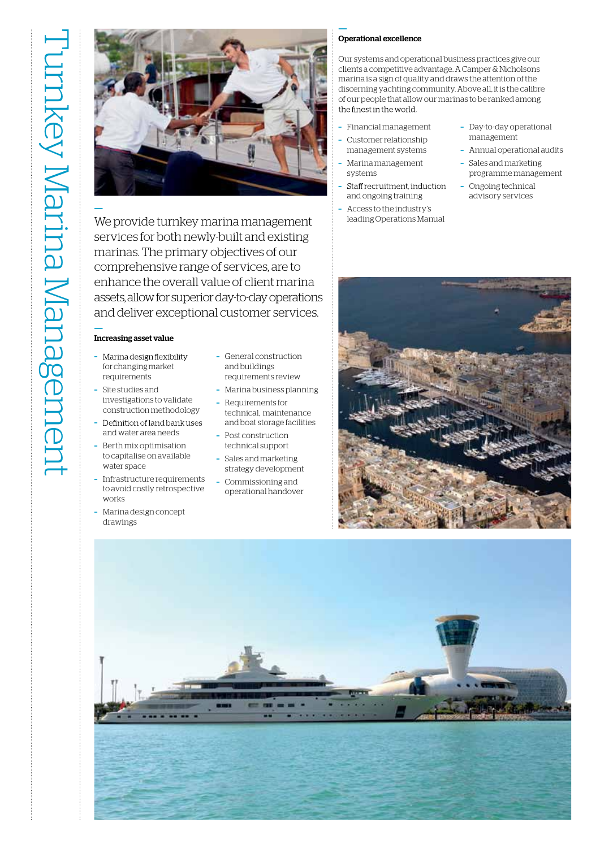**—**



We provide turnkey marina management services for both newly-built and existing marinas. The primary objectives of our comprehensive range of services, are to enhance the overall value of client marina assets, allowfor superior day-to-day operations and deliver exceptional customer services.

## **—** Increasing asset value

- **–** for changing market requirements
- **–** Site studies and investigations to validate construction methodology
- Definition of land bank uses **–** and water area needs
- **–** Berth mix optimisation to capitalise on available water space
- **–** Infrastructure requirements to avoid costly retrospective works
- **–** Marina design concept drawings
- **–** General construction and buildings requirements review
- **–** Marina business planning **–** Requirements for
- technical, maintenance and boat storage facilities
- **–** Post construction technical support
- **–** Sales and marketing strategy development
- **–** Commissioning and operational handover

## **—** Operational excellence

Our systems and operational business practices give our clients a competitive advantage. A Camper & Nicholsons marina is a sign of quality and draws the attention of the discerning yachting community. Above all, it is the calibre of our people that allow our marinas to be ranked among the finest in the world.

- **–** Financial management **–** Customer relationship
- management systems **–** Marina management systems
- Staff recruitment, induction **–** and ongoing training
- **–** Access to the industry's leading Operations Manual
- **–** Day-to-day operational management
- **–** Annual operational audits
- **–** Sales and marketing programme management
- **–** Ongoing technical advisory services